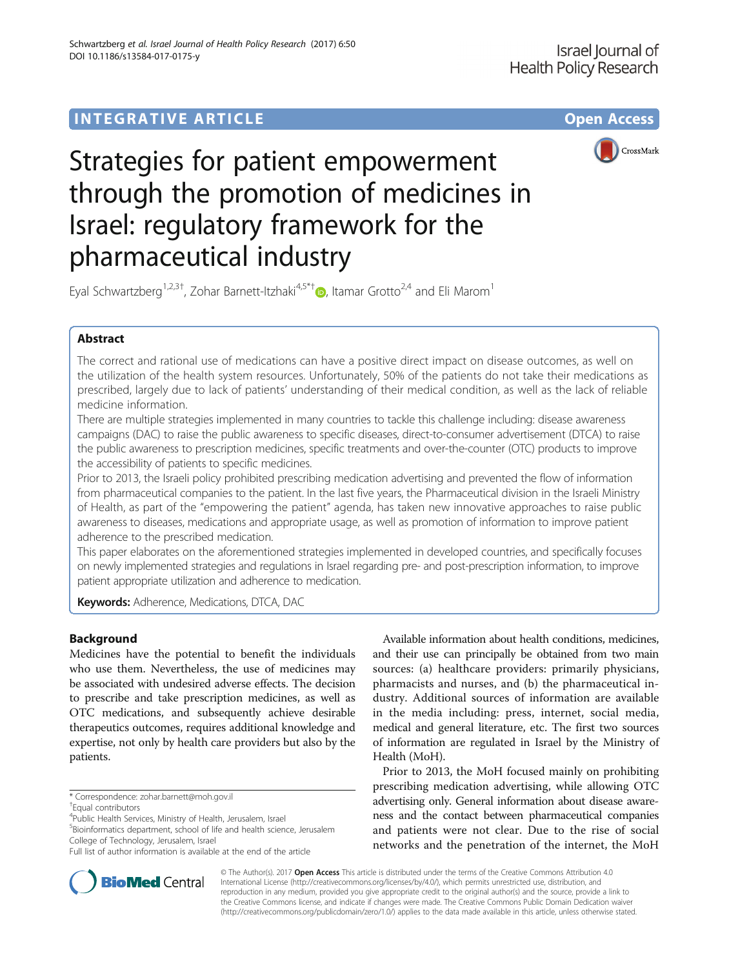# **INTEGRATIVE ARTICLE Example 2014 CONSIDERING A CONSIDERING A CONSIDERING A CONSIDERING A CONSIDERING A CONSIDERING A CONSIDERING A CONSIDERING A CONSIDERING A CONSIDERING A CONSIDERING A CONSIDERING A CONSIDERING A CO**



# Strategies for patient empowerment through the promotion of medicines in Israel: regulatory framework for the pharmaceutical industry

Eyal Schwartzberg<sup>1,2,3†</sup>, Zohar Barnett-Itzhaki<sup>4,5\*†</sup>®, Itamar Grotto<sup>2,4</sup> and Eli Marom<sup>1</sup>

# Abstract

The correct and rational use of medications can have a positive direct impact on disease outcomes, as well on the utilization of the health system resources. Unfortunately, 50% of the patients do not take their medications as prescribed, largely due to lack of patients' understanding of their medical condition, as well as the lack of reliable medicine information.

There are multiple strategies implemented in many countries to tackle this challenge including: disease awareness campaigns (DAC) to raise the public awareness to specific diseases, direct-to-consumer advertisement (DTCA) to raise the public awareness to prescription medicines, specific treatments and over-the-counter (OTC) products to improve the accessibility of patients to specific medicines.

Prior to 2013, the Israeli policy prohibited prescribing medication advertising and prevented the flow of information from pharmaceutical companies to the patient. In the last five years, the Pharmaceutical division in the Israeli Ministry of Health, as part of the "empowering the patient" agenda, has taken new innovative approaches to raise public awareness to diseases, medications and appropriate usage, as well as promotion of information to improve patient adherence to the prescribed medication.

This paper elaborates on the aforementioned strategies implemented in developed countries, and specifically focuses on newly implemented strategies and regulations in Israel regarding pre- and post-prescription information, to improve patient appropriate utilization and adherence to medication.

**Keywords: Adherence, Medications, DTCA, DAC** 

# Background

Medicines have the potential to benefit the individuals who use them. Nevertheless, the use of medicines may be associated with undesired adverse effects. The decision to prescribe and take prescription medicines, as well as OTC medications, and subsequently achieve desirable therapeutics outcomes, requires additional knowledge and expertise, not only by health care providers but also by the patients.

4 Public Health Services, Ministry of Health, Jerusalem, Israel

5 Bioinformatics department, school of life and health science, Jerusalem College of Technology, Jerusalem, Israel

Available information about health conditions, medicines, and their use can principally be obtained from two main sources: (a) healthcare providers: primarily physicians, pharmacists and nurses, and (b) the pharmaceutical industry. Additional sources of information are available in the media including: press, internet, social media, medical and general literature, etc. The first two sources of information are regulated in Israel by the Ministry of Health (MoH).

Prior to 2013, the MoH focused mainly on prohibiting prescribing medication advertising, while allowing OTC advertising only. General information about disease awareness and the contact between pharmaceutical companies and patients were not clear. Due to the rise of social networks and the penetration of the internet, the MoH



© The Author(s). 2017 **Open Access** This article is distributed under the terms of the Creative Commons Attribution 4.0 International License [\(http://creativecommons.org/licenses/by/4.0/](http://creativecommons.org/licenses/by/4.0/)), which permits unrestricted use, distribution, and reproduction in any medium, provided you give appropriate credit to the original author(s) and the source, provide a link to the Creative Commons license, and indicate if changes were made. The Creative Commons Public Domain Dedication waiver [\(http://creativecommons.org/publicdomain/zero/1.0/](http://creativecommons.org/publicdomain/zero/1.0/)) applies to the data made available in this article, unless otherwise stated.

<sup>\*</sup> Correspondence: [zohar.barnett@moh.gov.il](mailto:zohar.barnett@moh.gov.il) †

Equal contributors

Full list of author information is available at the end of the article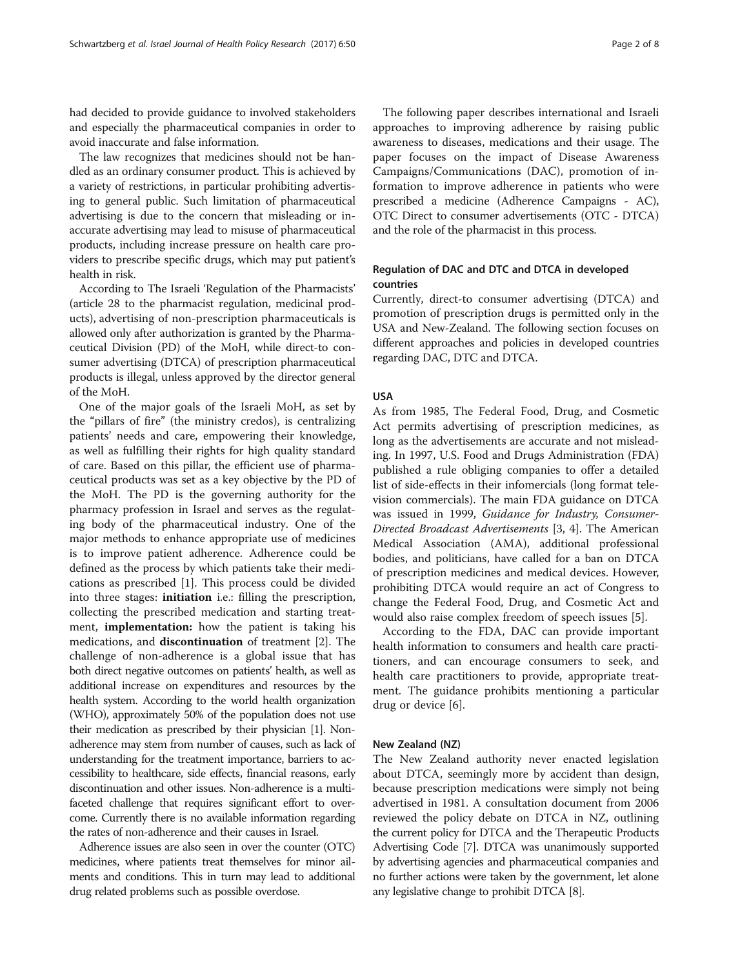had decided to provide guidance to involved stakeholders and especially the pharmaceutical companies in order to avoid inaccurate and false information.

The law recognizes that medicines should not be handled as an ordinary consumer product. This is achieved by a variety of restrictions, in particular prohibiting advertising to general public. Such limitation of pharmaceutical advertising is due to the concern that misleading or inaccurate advertising may lead to misuse of pharmaceutical products, including increase pressure on health care providers to prescribe specific drugs, which may put patient's health in risk.

According to The Israeli 'Regulation of the Pharmacists' (article 28 to the pharmacist regulation, medicinal products), advertising of non-prescription pharmaceuticals is allowed only after authorization is granted by the Pharmaceutical Division (PD) of the MoH, while direct-to consumer advertising (DTCA) of prescription pharmaceutical products is illegal, unless approved by the director general of the MoH.

One of the major goals of the Israeli MoH, as set by the "pillars of fire" (the ministry credos), is centralizing patients' needs and care, empowering their knowledge, as well as fulfilling their rights for high quality standard of care. Based on this pillar, the efficient use of pharmaceutical products was set as a key objective by the PD of the MoH. The PD is the governing authority for the pharmacy profession in Israel and serves as the regulating body of the pharmaceutical industry. One of the major methods to enhance appropriate use of medicines is to improve patient adherence. Adherence could be defined as the process by which patients take their medications as prescribed [[1\]](#page-6-0). This process could be divided into three stages: initiation i.e.: filling the prescription, collecting the prescribed medication and starting treatment, implementation: how the patient is taking his medications, and discontinuation of treatment [[2](#page-6-0)]. The challenge of non-adherence is a global issue that has both direct negative outcomes on patients' health, as well as additional increase on expenditures and resources by the health system. According to the world health organization (WHO), approximately 50% of the population does not use their medication as prescribed by their physician [[1](#page-6-0)]. Nonadherence may stem from number of causes, such as lack of understanding for the treatment importance, barriers to accessibility to healthcare, side effects, financial reasons, early discontinuation and other issues. Non-adherence is a multifaceted challenge that requires significant effort to overcome. Currently there is no available information regarding the rates of non-adherence and their causes in Israel.

Adherence issues are also seen in over the counter (OTC) medicines, where patients treat themselves for minor ailments and conditions. This in turn may lead to additional drug related problems such as possible overdose.

The following paper describes international and Israeli approaches to improving adherence by raising public awareness to diseases, medications and their usage. The paper focuses on the impact of Disease Awareness Campaigns/Communications (DAC), promotion of information to improve adherence in patients who were prescribed a medicine (Adherence Campaigns - AC), OTC Direct to consumer advertisements (OTC - DTCA) and the role of the pharmacist in this process.

# Regulation of DAC and DTC and DTCA in developed countries

Currently, direct-to consumer advertising (DTCA) and promotion of prescription drugs is permitted only in the USA and New-Zealand. The following section focuses on different approaches and policies in developed countries regarding DAC, DTC and DTCA.

### USA

As from 1985, The Federal Food, Drug, and Cosmetic Act permits advertising of prescription medicines, as long as the advertisements are accurate and not misleading. In 1997, U.S. Food and Drugs Administration (FDA) published a rule obliging companies to offer a detailed list of side-effects in their infomercials (long format television commercials). The main FDA guidance on DTCA was issued in 1999, Guidance for Industry, Consumer-Directed Broadcast Advertisements [[3,](#page-6-0) [4](#page-7-0)]. The American Medical Association (AMA), additional professional bodies, and politicians, have called for a ban on DTCA of prescription medicines and medical devices. However, prohibiting DTCA would require an act of Congress to change the Federal Food, Drug, and Cosmetic Act and would also raise complex freedom of speech issues [[5\]](#page-7-0).

According to the FDA, DAC can provide important health information to consumers and health care practitioners, and can encourage consumers to seek, and health care practitioners to provide, appropriate treatment. The guidance prohibits mentioning a particular drug or device [[6\]](#page-7-0).

#### New Zealand (NZ)

The New Zealand authority never enacted legislation about DTCA, seemingly more by accident than design, because prescription medications were simply not being advertised in 1981. A consultation document from 2006 reviewed the policy debate on DTCA in NZ, outlining the current policy for DTCA and the Therapeutic Products Advertising Code [\[7](#page-7-0)]. DTCA was unanimously supported by advertising agencies and pharmaceutical companies and no further actions were taken by the government, let alone any legislative change to prohibit DTCA [\[8\]](#page-7-0).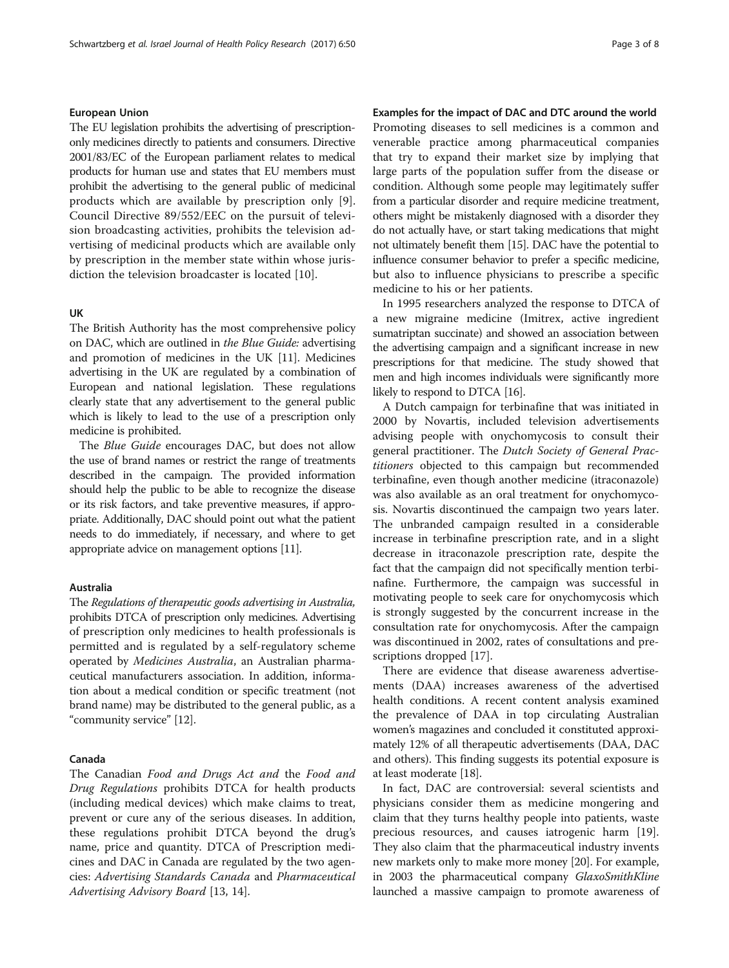# European Union

The EU legislation prohibits the advertising of prescriptiononly medicines directly to patients and consumers. Directive 2001/83/EC of the European parliament relates to medical products for human use and states that EU members must prohibit the advertising to the general public of medicinal products which are available by prescription only [\[9](#page-7-0)]. Council Directive 89/552/EEC on the pursuit of television broadcasting activities, prohibits the television advertising of medicinal products which are available only by prescription in the member state within whose jurisdiction the television broadcaster is located [[10](#page-7-0)].

# UK

The British Authority has the most comprehensive policy on DAC, which are outlined in the Blue Guide: advertising and promotion of medicines in the UK [\[11\]](#page-7-0). Medicines advertising in the UK are regulated by a combination of European and national legislation. These regulations clearly state that any advertisement to the general public which is likely to lead to the use of a prescription only medicine is prohibited.

The Blue Guide encourages DAC, but does not allow the use of brand names or restrict the range of treatments described in the campaign. The provided information should help the public to be able to recognize the disease or its risk factors, and take preventive measures, if appropriate. Additionally, DAC should point out what the patient needs to do immediately, if necessary, and where to get appropriate advice on management options [\[11\]](#page-7-0).

### Australia

The Regulations of therapeutic goods advertising in Australia, prohibits DTCA of prescription only medicines. Advertising of prescription only medicines to health professionals is permitted and is regulated by a self-regulatory scheme operated by Medicines Australia, an Australian pharmaceutical manufacturers association. In addition, information about a medical condition or specific treatment (not brand name) may be distributed to the general public, as a "community service" [\[12\]](#page-7-0).

# Canada

The Canadian Food and Drugs Act and the Food and Drug Regulations prohibits DTCA for health products (including medical devices) which make claims to treat, prevent or cure any of the serious diseases. In addition, these regulations prohibit DTCA beyond the drug's name, price and quantity. DTCA of Prescription medicines and DAC in Canada are regulated by the two agencies: Advertising Standards Canada and Pharmaceutical Advertising Advisory Board [\[13](#page-7-0), [14](#page-7-0)].

# Examples for the impact of DAC and DTC around the world

Promoting diseases to sell medicines is a common and venerable practice among pharmaceutical companies that try to expand their market size by implying that large parts of the population suffer from the disease or condition. Although some people may legitimately suffer from a particular disorder and require medicine treatment, others might be mistakenly diagnosed with a disorder they do not actually have, or start taking medications that might not ultimately benefit them [[15](#page-7-0)]. DAC have the potential to influence consumer behavior to prefer a specific medicine, but also to influence physicians to prescribe a specific medicine to his or her patients.

In 1995 researchers analyzed the response to DTCA of a new migraine medicine (Imitrex, active ingredient sumatriptan succinate) and showed an association between the advertising campaign and a significant increase in new prescriptions for that medicine. The study showed that men and high incomes individuals were significantly more likely to respond to DTCA [\[16](#page-7-0)].

A Dutch campaign for terbinafine that was initiated in 2000 by Novartis, included television advertisements advising people with onychomycosis to consult their general practitioner. The Dutch Society of General Practitioners objected to this campaign but recommended terbinafine, even though another medicine (itraconazole) was also available as an oral treatment for onychomycosis. Novartis discontinued the campaign two years later. The unbranded campaign resulted in a considerable increase in terbinafine prescription rate, and in a slight decrease in itraconazole prescription rate, despite the fact that the campaign did not specifically mention terbinafine. Furthermore, the campaign was successful in motivating people to seek care for onychomycosis which is strongly suggested by the concurrent increase in the consultation rate for onychomycosis. After the campaign was discontinued in 2002, rates of consultations and prescriptions dropped [\[17](#page-7-0)].

There are evidence that disease awareness advertisements (DAA) increases awareness of the advertised health conditions. A recent content analysis examined the prevalence of DAA in top circulating Australian women's magazines and concluded it constituted approximately 12% of all therapeutic advertisements (DAA, DAC and others). This finding suggests its potential exposure is at least moderate [[18\]](#page-7-0).

In fact, DAC are controversial: several scientists and physicians consider them as medicine mongering and claim that they turns healthy people into patients, waste precious resources, and causes iatrogenic harm [\[19](#page-7-0)]. They also claim that the pharmaceutical industry invents new markets only to make more money [\[20](#page-7-0)]. For example, in 2003 the pharmaceutical company GlaxoSmithKline launched a massive campaign to promote awareness of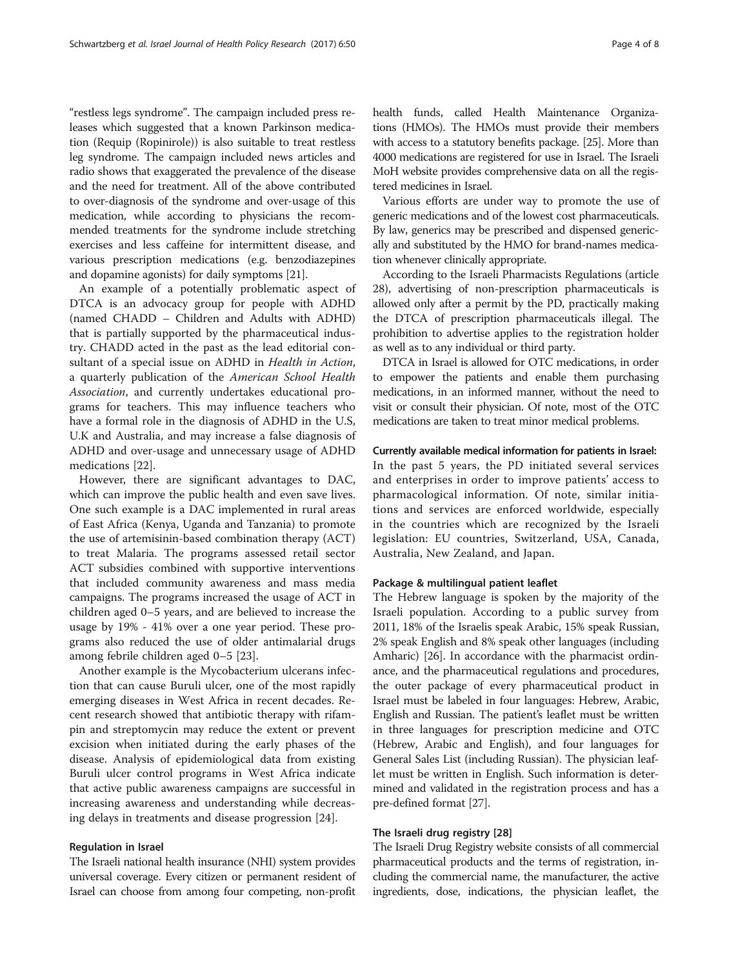"restless legs syndrome". The campaign included press releases which suggested that a known Parkinson medication (Requip (Ropinirole)) is also suitable to treat restless leg syndrome. The campaign included news articles and radio shows that exaggerated the prevalence of the disease and the need for treatment. All of the above contributed to over-diagnosis of the syndrome and over-usage of this medication, while according to physicians the recommended treatments for the syndrome include stretching exercises and less caffeine for intermittent disease, and various prescription medications (e.g. benzodiazepines and dopamine agonists) for daily symptoms [[21](#page-7-0)].

An example of a potentially problematic aspect of DTCA is an advocacy group for people with ADHD (named CHADD – Children and Adults with ADHD) that is partially supported by the pharmaceutical industry. CHADD acted in the past as the lead editorial consultant of a special issue on ADHD in *Health in Action*, a quarterly publication of the American School Health Association, and currently undertakes educational programs for teachers. This may influence teachers who have a formal role in the diagnosis of ADHD in the U.S, U.K and Australia, and may increase a false diagnosis of ADHD and over-usage and unnecessary usage of ADHD medications [[22\]](#page-7-0).

However, there are significant advantages to DAC, which can improve the public health and even save lives. One such example is a DAC implemented in rural areas of East Africa (Kenya, Uganda and Tanzania) to promote the use of artemisinin-based combination therapy (ACT) to treat Malaria. The programs assessed retail sector ACT subsidies combined with supportive interventions that included community awareness and mass media campaigns. The programs increased the usage of ACT in children aged 0–5 years, and are believed to increase the usage by 19% - 41% over a one year period. These programs also reduced the use of older antimalarial drugs among febrile children aged 0–5 [\[23\]](#page-7-0).

Another example is the Mycobacterium ulcerans infection that can cause Buruli ulcer, one of the most rapidly emerging diseases in West Africa in recent decades. Recent research showed that antibiotic therapy with rifampin and streptomycin may reduce the extent or prevent excision when initiated during the early phases of the disease. Analysis of epidemiological data from existing Buruli ulcer control programs in West Africa indicate that active public awareness campaigns are successful in increasing awareness and understanding while decreasing delays in treatments and disease progression [[24\]](#page-7-0).

#### Regulation in Israel

The Israeli national health insurance (NHI) system provides universal coverage. Every citizen or permanent resident of Israel can choose from among four competing, non-profit health funds, called Health Maintenance Organizations (HMOs). The HMOs must provide their members with access to a statutory benefits package. [\[25\]](#page-7-0). More than 4000 medications are registered for use in Israel. The Israeli MoH website provides comprehensive data on all the registered medicines in Israel.

Various efforts are under way to promote the use of generic medications and of the lowest cost pharmaceuticals. By law, generics may be prescribed and dispensed generically and substituted by the HMO for brand-names medication whenever clinically appropriate.

According to the Israeli Pharmacists Regulations (article 28), advertising of non-prescription pharmaceuticals is allowed only after a permit by the PD, practically making the DTCA of prescription pharmaceuticals illegal. The prohibition to advertise applies to the registration holder as well as to any individual or third party.

DTCA in Israel is allowed for OTC medications, in order to empower the patients and enable them purchasing medications, in an informed manner, without the need to visit or consult their physician. Of note, most of the OTC medications are taken to treat minor medical problems.

Currently available medical information for patients in Israel: In the past 5 years, the PD initiated several services and enterprises in order to improve patients' access to pharmacological information. Of note, similar initiations and services are enforced worldwide, especially in the countries which are recognized by the Israeli legislation: EU countries, Switzerland, USA, Canada, Australia, New Zealand, and Japan.

#### Package & multilingual patient leaflet

The Hebrew language is spoken by the majority of the Israeli population. According to a public survey from 2011, 18% of the Israelis speak Arabic, 15% speak Russian, 2% speak English and 8% speak other languages (including Amharic) [\[26\]](#page-7-0). In accordance with the pharmacist ordinance, and the pharmaceutical regulations and procedures, the outer package of every pharmaceutical product in Israel must be labeled in four languages: Hebrew, Arabic, English and Russian. The patient's leaflet must be written in three languages for prescription medicine and OTC (Hebrew, Arabic and English), and four languages for General Sales List (including Russian). The physician leaflet must be written in English. Such information is determined and validated in the registration process and has a pre-defined format [\[27\]](#page-7-0).

# The Israeli drug registry [[28\]](#page-7-0)

The Israeli Drug Registry website consists of all commercial pharmaceutical products and the terms of registration, including the commercial name, the manufacturer, the active ingredients, dose, indications, the physician leaflet, the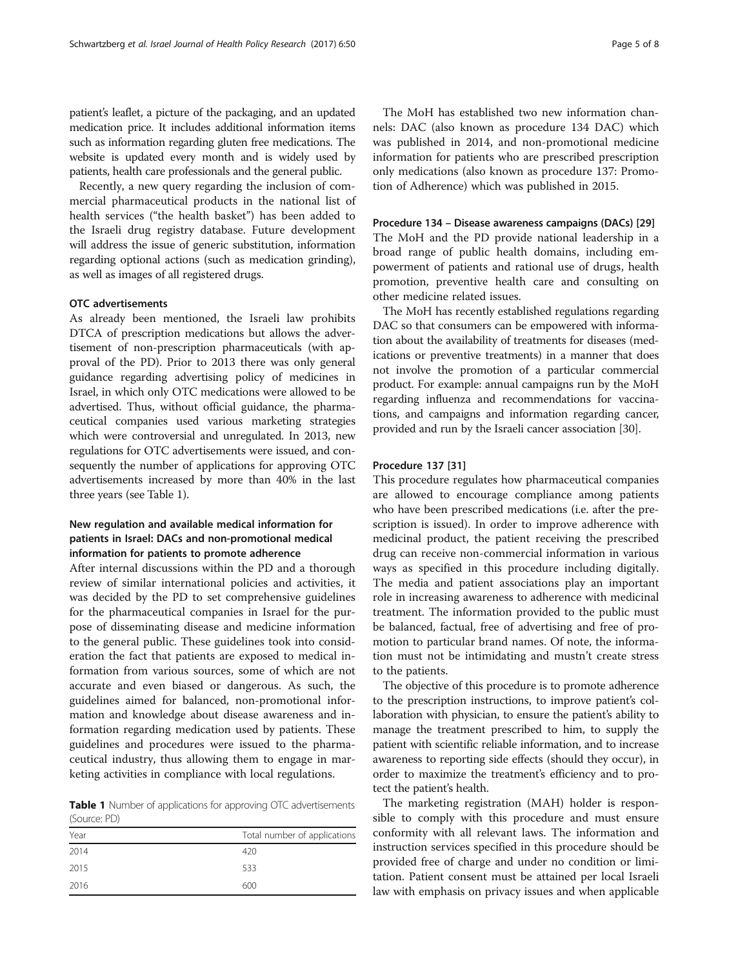patient's leaflet, a picture of the packaging, and an updated medication price. It includes additional information items such as information regarding gluten free medications. The website is updated every month and is widely used by patients, health care professionals and the general public.

Recently, a new query regarding the inclusion of commercial pharmaceutical products in the national list of health services ("the health basket") has been added to the Israeli drug registry database. Future development will address the issue of generic substitution, information regarding optional actions (such as medication grinding), as well as images of all registered drugs.

#### OTC advertisements

As already been mentioned, the Israeli law prohibits DTCA of prescription medications but allows the advertisement of non-prescription pharmaceuticals (with approval of the PD). Prior to 2013 there was only general guidance regarding advertising policy of medicines in Israel, in which only OTC medications were allowed to be advertised. Thus, without official guidance, the pharmaceutical companies used various marketing strategies which were controversial and unregulated. In 2013, new regulations for OTC advertisements were issued, and consequently the number of applications for approving OTC advertisements increased by more than 40% in the last three years (see Table 1).

# New regulation and available medical information for patients in Israel: DACs and non-promotional medical information for patients to promote adherence

After internal discussions within the PD and a thorough review of similar international policies and activities, it was decided by the PD to set comprehensive guidelines for the pharmaceutical companies in Israel for the purpose of disseminating disease and medicine information to the general public. These guidelines took into consideration the fact that patients are exposed to medical information from various sources, some of which are not accurate and even biased or dangerous. As such, the guidelines aimed for balanced, non-promotional information and knowledge about disease awareness and information regarding medication used by patients. These guidelines and procedures were issued to the pharmaceutical industry, thus allowing them to engage in marketing activities in compliance with local regulations.

Table 1 Number of applications for approving OTC advertisements (Source: PD)

| Year | Total number of applications |
|------|------------------------------|
| 2014 | 420                          |
| 2015 | 533                          |
| 2016 | 600                          |

The MoH has established two new information channels: DAC (also known as procedure 134 DAC) which was published in 2014, and non-promotional medicine information for patients who are prescribed prescription only medications (also known as procedure 137: Promotion of Adherence) which was published in 2015.

# Procedure 134 – Disease awareness campaigns (DACs) [[29\]](#page-7-0)

The MoH and the PD provide national leadership in a broad range of public health domains, including empowerment of patients and rational use of drugs, health promotion, preventive health care and consulting on other medicine related issues.

The MoH has recently established regulations regarding DAC so that consumers can be empowered with information about the availability of treatments for diseases (medications or preventive treatments) in a manner that does not involve the promotion of a particular commercial product. For example: annual campaigns run by the MoH regarding influenza and recommendations for vaccinations, and campaigns and information regarding cancer, provided and run by the Israeli cancer association [\[30\]](#page-7-0).

#### Procedure 137 [\[31](#page-7-0)]

This procedure regulates how pharmaceutical companies are allowed to encourage compliance among patients who have been prescribed medications (i.e. after the prescription is issued). In order to improve adherence with medicinal product, the patient receiving the prescribed drug can receive non-commercial information in various ways as specified in this procedure including digitally. The media and patient associations play an important role in increasing awareness to adherence with medicinal treatment. The information provided to the public must be balanced, factual, free of advertising and free of promotion to particular brand names. Of note, the information must not be intimidating and mustn't create stress to the patients.

The objective of this procedure is to promote adherence to the prescription instructions, to improve patient's collaboration with physician, to ensure the patient's ability to manage the treatment prescribed to him, to supply the patient with scientific reliable information, and to increase awareness to reporting side effects (should they occur), in order to maximize the treatment's efficiency and to protect the patient's health.

The marketing registration (MAH) holder is responsible to comply with this procedure and must ensure conformity with all relevant laws. The information and instruction services specified in this procedure should be provided free of charge and under no condition or limitation. Patient consent must be attained per local Israeli law with emphasis on privacy issues and when applicable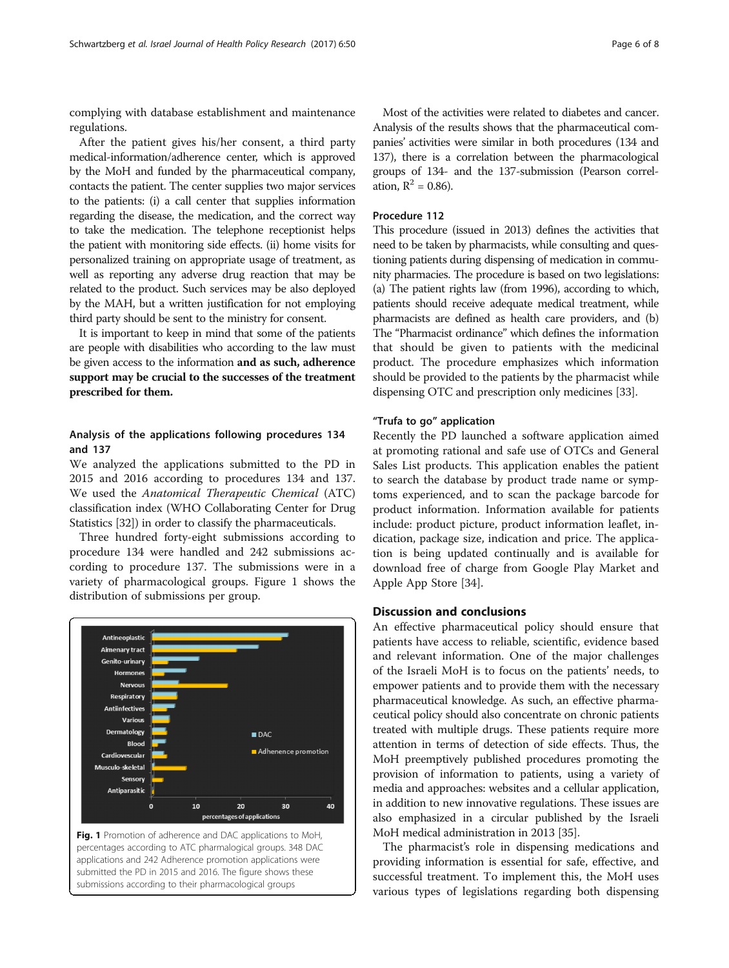complying with database establishment and maintenance regulations.

After the patient gives his/her consent, a third party medical-information/adherence center, which is approved by the MoH and funded by the pharmaceutical company, contacts the patient. The center supplies two major services to the patients: (i) a call center that supplies information regarding the disease, the medication, and the correct way to take the medication. The telephone receptionist helps the patient with monitoring side effects. (ii) home visits for personalized training on appropriate usage of treatment, as well as reporting any adverse drug reaction that may be related to the product. Such services may be also deployed by the MAH, but a written justification for not employing third party should be sent to the ministry for consent.

It is important to keep in mind that some of the patients are people with disabilities who according to the law must be given access to the information and as such, adherence support may be crucial to the successes of the treatment prescribed for them.

# Analysis of the applications following procedures 134 and 137

We analyzed the applications submitted to the PD in 2015 and 2016 according to procedures 134 and 137. We used the Anatomical Therapeutic Chemical (ATC) classification index (WHO Collaborating Center for Drug Statistics [[32](#page-7-0)]) in order to classify the pharmaceuticals.

Three hundred forty-eight submissions according to procedure 134 were handled and 242 submissions according to procedure 137. The submissions were in a variety of pharmacological groups. Figure 1 shows the distribution of submissions per group.



Most of the activities were related to diabetes and cancer. Analysis of the results shows that the pharmaceutical companies' activities were similar in both procedures (134 and 137), there is a correlation between the pharmacological groups of 134- and the 137-submission (Pearson correlation,  $R^2 = 0.86$ ).

#### Procedure 112

This procedure (issued in 2013) defines the activities that need to be taken by pharmacists, while consulting and questioning patients during dispensing of medication in community pharmacies. The procedure is based on two legislations: (a) The patient rights law (from 1996), according to which, patients should receive adequate medical treatment, while pharmacists are defined as health care providers, and (b) The "Pharmacist ordinance" which defines the information that should be given to patients with the medicinal product. The procedure emphasizes which information should be provided to the patients by the pharmacist while dispensing OTC and prescription only medicines [\[33\]](#page-7-0).

#### "Trufa to go" application

Recently the PD launched a software application aimed at promoting rational and safe use of OTCs and General Sales List products. This application enables the patient to search the database by product trade name or symptoms experienced, and to scan the package barcode for product information. Information available for patients include: product picture, product information leaflet, indication, package size, indication and price. The application is being updated continually and is available for download free of charge from Google Play Market and Apple App Store [[34\]](#page-7-0).

#### Discussion and conclusions

An effective pharmaceutical policy should ensure that patients have access to reliable, scientific, evidence based and relevant information. One of the major challenges of the Israeli MoH is to focus on the patients' needs, to empower patients and to provide them with the necessary pharmaceutical knowledge. As such, an effective pharmaceutical policy should also concentrate on chronic patients treated with multiple drugs. These patients require more attention in terms of detection of side effects. Thus, the MoH preemptively published procedures promoting the provision of information to patients, using a variety of media and approaches: websites and a cellular application, in addition to new innovative regulations. These issues are also emphasized in a circular published by the Israeli MoH medical administration in 2013 [\[35\]](#page-7-0).

The pharmacist's role in dispensing medications and providing information is essential for safe, effective, and successful treatment. To implement this, the MoH uses various types of legislations regarding both dispensing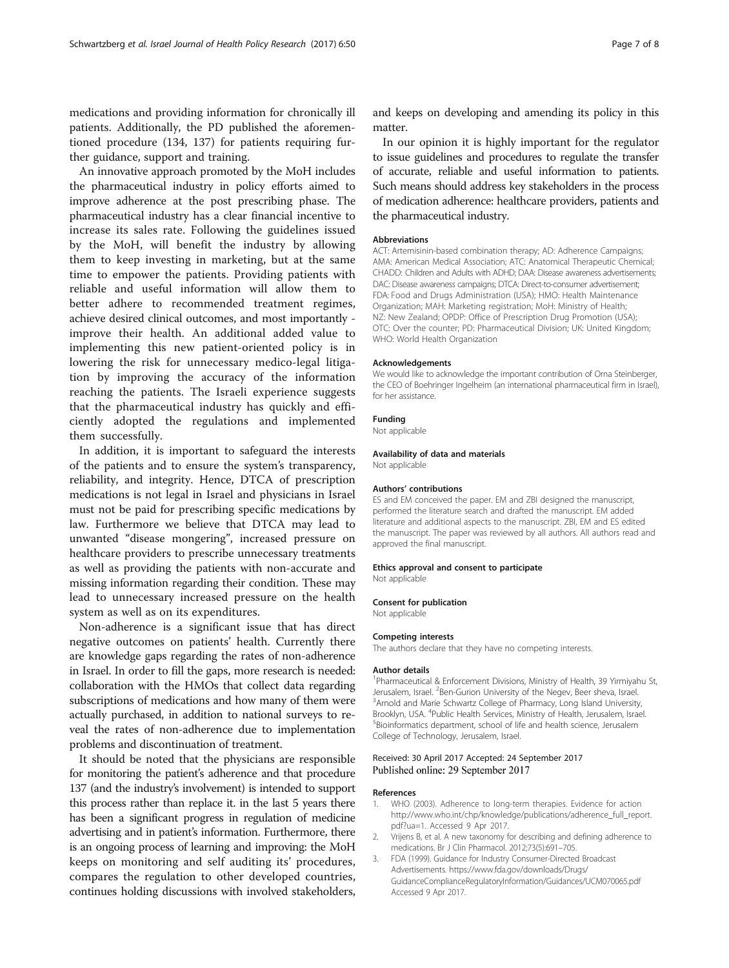<span id="page-6-0"></span>medications and providing information for chronically ill patients. Additionally, the PD published the aforementioned procedure (134, 137) for patients requiring further guidance, support and training.

An innovative approach promoted by the MoH includes the pharmaceutical industry in policy efforts aimed to improve adherence at the post prescribing phase. The pharmaceutical industry has a clear financial incentive to increase its sales rate. Following the guidelines issued by the MoH, will benefit the industry by allowing them to keep investing in marketing, but at the same time to empower the patients. Providing patients with reliable and useful information will allow them to better adhere to recommended treatment regimes, achieve desired clinical outcomes, and most importantly improve their health. An additional added value to implementing this new patient-oriented policy is in lowering the risk for unnecessary medico-legal litigation by improving the accuracy of the information reaching the patients. The Israeli experience suggests that the pharmaceutical industry has quickly and efficiently adopted the regulations and implemented them successfully.

In addition, it is important to safeguard the interests of the patients and to ensure the system's transparency, reliability, and integrity. Hence, DTCA of prescription medications is not legal in Israel and physicians in Israel must not be paid for prescribing specific medications by law. Furthermore we believe that DTCA may lead to unwanted "disease mongering", increased pressure on healthcare providers to prescribe unnecessary treatments as well as providing the patients with non-accurate and missing information regarding their condition. These may lead to unnecessary increased pressure on the health system as well as on its expenditures.

Non-adherence is a significant issue that has direct negative outcomes on patients' health. Currently there are knowledge gaps regarding the rates of non-adherence in Israel. In order to fill the gaps, more research is needed: collaboration with the HMOs that collect data regarding subscriptions of medications and how many of them were actually purchased, in addition to national surveys to reveal the rates of non-adherence due to implementation problems and discontinuation of treatment.

It should be noted that the physicians are responsible for monitoring the patient's adherence and that procedure 137 (and the industry's involvement) is intended to support this process rather than replace it. in the last 5 years there has been a significant progress in regulation of medicine advertising and in patient's information. Furthermore, there is an ongoing process of learning and improving: the MoH keeps on monitoring and self auditing its' procedures, compares the regulation to other developed countries, continues holding discussions with involved stakeholders, and keeps on developing and amending its policy in this matter.

In our opinion it is highly important for the regulator to issue guidelines and procedures to regulate the transfer of accurate, reliable and useful information to patients. Such means should address key stakeholders in the process of medication adherence: healthcare providers, patients and the pharmaceutical industry.

#### **Abbreviations**

ACT: Artemisinin-based combination therapy; AD: Adherence Campaigns; AMA: American Medical Association; ATC: Anatomical Therapeutic Chemical; CHADD: Children and Adults with ADHD; DAA: Disease awareness advertisements; DAC: Disease awareness campaigns; DTCA: Direct-to-consumer advertisement; FDA: Food and Drugs Administration (USA); HMO: Health Maintenance Organization; MAH: Marketing registration; MoH: Ministry of Health; NZ: New Zealand; OPDP: Office of Prescription Drug Promotion (USA); OTC: Over the counter; PD: Pharmaceutical Division; UK: United Kingdom; WHO: World Health Organization

#### Acknowledgements

We would like to acknowledge the important contribution of Orna Steinberger, the CEO of Boehringer Ingelheim (an international pharmaceutical firm in Israel), for her assistance.

#### Funding

Not applicable

#### Availability of data and materials

Not applicable

#### Authors' contributions

ES and EM conceived the paper. EM and ZBI designed the manuscript, performed the literature search and drafted the manuscript. EM added literature and additional aspects to the manuscript. ZBI, EM and ES edited the manuscript. The paper was reviewed by all authors. All authors read and approved the final manuscript.

#### Ethics approval and consent to participate Not applicable

#### Consent for publication

Not applicable

#### Competing interests

The authors declare that they have no competing interests.

#### Author details

<sup>1</sup>Pharmaceutical & Enforcement Divisions, Ministry of Health, 39 Yirmiyahu St Jerusalem, Israel. <sup>2</sup> Ben-Gurion University of the Negev, Beer sheva, Israel.<br><sup>3</sup> Arnold and Mario Schwartz Collogo of Pharmacy, Long Island University <sup>3</sup> Arnold and Marie Schwartz College of Pharmacy, Long Island University, Brooklyn, USA. <sup>4</sup>Public Health Services, Ministry of Health, Jerusalem, Israel.<br><sup>5</sup>Bioinformatics department, school of life and boalth science, Jerusalem. <sup>5</sup>Bioinformatics department, school of life and health science, Jerusalem College of Technology, Jerusalem, Israel.

#### Received: 30 April 2017 Accepted: 24 September 2017 Published online: 29 September 2017

#### References

- 1. WHO (2003). Adherence to long-term therapies. Evidence for action [http://www.who.int/chp/knowledge/publications/adherence\\_full\\_report.](http://www.who.int/chp/knowledge/publications/adherence_full_report.pdf?ua=1) [pdf?ua=1](http://www.who.int/chp/knowledge/publications/adherence_full_report.pdf?ua=1). Accessed 9 Apr 2017.
- 2. Vrijens B, et al. A new taxonomy for describing and defining adherence to medications. Br J Clin Pharmacol. 2012;73(5):691–705.
- 3. FDA (1999). Guidance for Industry Consumer-Directed Broadcast Advertisements. [https://www.fda.gov/downloads/Drugs/](https://www.fda.gov/downloads/Drugs/GuidanceComplianceRegulatoryInformation/Guidances/UCM070065.pdf) [GuidanceComplianceRegulatoryInformation/Guidances/UCM070065.pdf](https://www.fda.gov/downloads/Drugs/GuidanceComplianceRegulatoryInformation/Guidances/UCM070065.pdf) Accessed 9 Apr 2017.